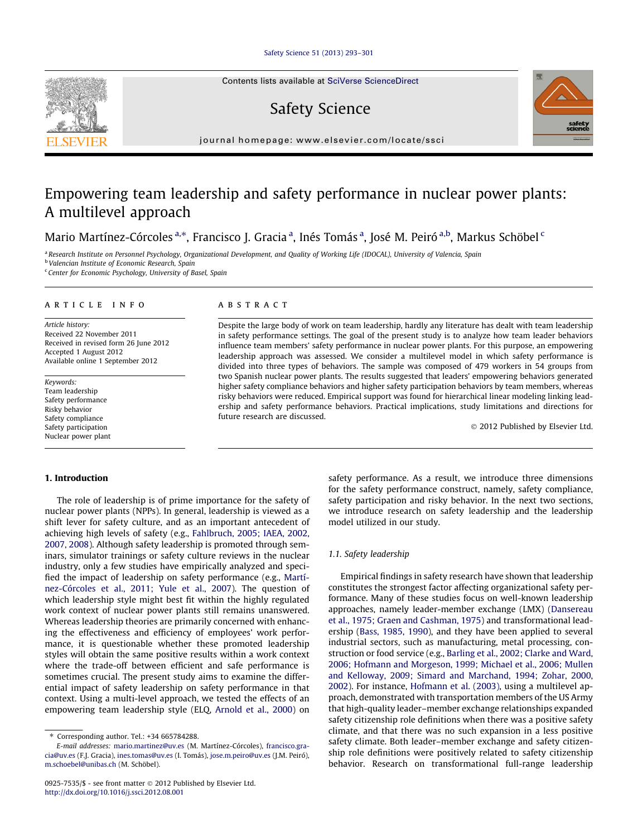### [Safety Science 51 \(2013\) 293–301](http://dx.doi.org/10.1016/j.ssci.2012.08.001)

Contents lists available at [SciVerse ScienceDirect](http://www.sciencedirect.com/science/journal/09257535)

# Safety Science



journal homepage: [www.elsevier.com/locate/ssci](http://www.elsevier.com/locate/ssci)

# Empowering team leadership and safety performance in nuclear power plants: A multilevel approach

Mario Martínez-Córcoles <sup>a,</sup>\*, Francisco J. Gracia <sup>a</sup>, Inés Tomás <sup>a</sup>, José M. Peiró <sup>a,b</sup>, Markus Schöbel <sup>c</sup>

<sup>a</sup> Research Institute on Personnel Psychology, Organizational Development, and Quality of Working Life (IDOCAL), University of Valencia, Spain **b Valencian Institute of Economic Research, Spain** 

<sup>c</sup> Center for Economic Psychology, University of Basel, Spain

#### article info

Article history: Received 22 November 2011 Received in revised form 26 June 2012 Accepted 1 August 2012 Available online 1 September 2012

Keywords: Team leadership Safety performance Risky behavior Safety compliance Safety participation Nuclear power plant

#### ABSTRACT

Despite the large body of work on team leadership, hardly any literature has dealt with team leadership in safety performance settings. The goal of the present study is to analyze how team leader behaviors influence team members' safety performance in nuclear power plants. For this purpose, an empowering leadership approach was assessed. We consider a multilevel model in which safety performance is divided into three types of behaviors. The sample was composed of 479 workers in 54 groups from two Spanish nuclear power plants. The results suggested that leaders' empowering behaviors generated higher safety compliance behaviors and higher safety participation behaviors by team members, whereas risky behaviors were reduced. Empirical support was found for hierarchical linear modeling linking leadership and safety performance behaviors. Practical implications, study limitations and directions for future research are discussed.

© 2012 Published by Elsevier Ltd.

### 1. Introduction

The role of leadership is of prime importance for the safety of nuclear power plants (NPPs). In general, leadership is viewed as a shift lever for safety culture, and as an important antecedent of achieving high levels of safety (e.g., [Fahlbruch, 2005; IAEA, 2002,](#page--1-0) [2007, 2008](#page--1-0)). Although safety leadership is promoted through seminars, simulator trainings or safety culture reviews in the nuclear industry, only a few studies have empirically analyzed and specified the impact of leadership on safety performance (e.g., [Martí](#page--1-0)[nez-Córcoles et al., 2011; Yule et al., 2007\)](#page--1-0). The question of which leadership style might best fit within the highly regulated work context of nuclear power plants still remains unanswered. Whereas leadership theories are primarily concerned with enhancing the effectiveness and efficiency of employees' work performance, it is questionable whether these promoted leadership styles will obtain the same positive results within a work context where the trade-off between efficient and safe performance is sometimes crucial. The present study aims to examine the differential impact of safety leadership on safety performance in that context. Using a multi-level approach, we tested the effects of an empowering team leadership style (ELQ, [Arnold et al., 2000](#page--1-0)) on

safety performance. As a result, we introduce three dimensions for the safety performance construct, namely, safety compliance, safety participation and risky behavior. In the next two sections, we introduce research on safety leadership and the leadership model utilized in our study.

#### 1.1. Safety leadership

Empirical findings in safety research have shown that leadership constitutes the strongest factor affecting organizational safety performance. Many of these studies focus on well-known leadership approaches, namely leader-member exchange (LMX) ([Dansereau](#page--1-0) [et al., 1975; Graen and Cashman, 1975](#page--1-0)) and transformational leadership [\(Bass, 1985, 1990\)](#page--1-0), and they have been applied to several industrial sectors, such as manufacturing, metal processing, construction or food service (e.g., [Barling et al., 2002; Clarke and Ward,](#page--1-0) [2006; Hofmann and Morgeson, 1999; Michael et al., 2006; Mullen](#page--1-0) [and Kelloway, 2009; Simard and Marchand, 1994; Zohar, 2000,](#page--1-0) [2002](#page--1-0)). For instance, [Hofmann et al. \(2003\),](#page--1-0) using a multilevel approach, demonstrated with transportation members of the US Army that high-quality leader–member exchange relationships expanded safety citizenship role definitions when there was a positive safety climate, and that there was no such expansion in a less positive safety climate. Both leader–member exchange and safety citizenship role definitions were positively related to safety citizenship behavior. Research on transformational full-range leadership

<sup>⇑</sup> Corresponding author. Tel.: +34 665784288.

E-mail addresses: [mario.martinez@uv.es](mailto:mario.martinez@uv.es) (M. Martínez-Córcoles), [francisco.gra](mailto:francisco.gracia@uv.es)[cia@uv.es](mailto:francisco.gracia@uv.es) (F.J. Gracia), [ines.tomas@uv.es](mailto:ines.tomas@uv.es) (I. Tomás), [jose.m.peiro@uv.es](mailto:jose.m.peiro@uv.es) (J.M. Peiró), [m.schoebel@unibas.ch](mailto:m.schoebel@unibas.ch) (M. Schöbel).

<sup>0925-7535/\$ -</sup> see front matter © 2012 Published by Elsevier Ltd. <http://dx.doi.org/10.1016/j.ssci.2012.08.001>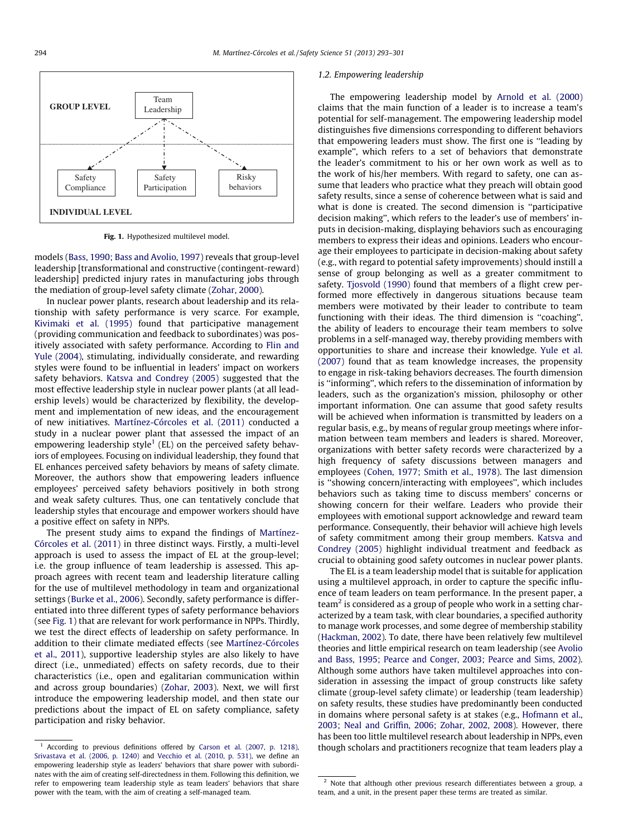

Fig. 1. Hypothesized multilevel model.

models [\(Bass, 1990; Bass and Avolio, 1997\)](#page--1-0) reveals that group-level leadership [transformational and constructive (contingent-reward) leadership] predicted injury rates in manufacturing jobs through the mediation of group-level safety climate ([Zohar, 2000\)](#page--1-0).

In nuclear power plants, research about leadership and its relationship with safety performance is very scarce. For example, [Kivimaki et al. \(1995\)](#page--1-0) found that participative management (providing communication and feedback to subordinates) was positively associated with safety performance. According to [Flin and](#page--1-0) [Yule \(2004\)](#page--1-0), stimulating, individually considerate, and rewarding styles were found to be influential in leaders' impact on workers safety behaviors. [Katsva and Condrey \(2005\)](#page--1-0) suggested that the most effective leadership style in nuclear power plants (at all leadership levels) would be characterized by flexibility, the development and implementation of new ideas, and the encouragement of new initiatives. [Martínez-Córcoles et al. \(2011\)](#page--1-0) conducted a study in a nuclear power plant that assessed the impact of an empowering leadership style<sup>1</sup> (EL) on the perceived safety behaviors of employees. Focusing on individual leadership, they found that EL enhances perceived safety behaviors by means of safety climate. Moreover, the authors show that empowering leaders influence employees' perceived safety behaviors positively in both strong and weak safety cultures. Thus, one can tentatively conclude that leadership styles that encourage and empower workers should have a positive effect on safety in NPPs.

The present study aims to expand the findings of [Martínez-](#page--1-0)[Córcoles et al. \(2011\)](#page--1-0) in three distinct ways. Firstly, a multi-level approach is used to assess the impact of EL at the group-level; i.e. the group influence of team leadership is assessed. This approach agrees with recent team and leadership literature calling for the use of multilevel methodology in team and organizational settings [\(Burke et al., 2006](#page--1-0)). Secondly, safety performance is differentiated into three different types of safety performance behaviors (see Fig. 1) that are relevant for work performance in NPPs. Thirdly, we test the direct effects of leadership on safety performance. In addition to their climate mediated effects (see [Martínez-Córcoles](#page--1-0) [et al., 2011\)](#page--1-0), supportive leadership styles are also likely to have direct (i.e., unmediated) effects on safety records, due to their characteristics (i.e., open and egalitarian communication within and across group boundaries) [\(Zohar, 2003\)](#page--1-0). Next, we will first introduce the empowering leadership model, and then state our predictions about the impact of EL on safety compliance, safety participation and risky behavior.

#### 1.2. Empowering leadership

The empowering leadership model by [Arnold et al. \(2000\)](#page--1-0) claims that the main function of a leader is to increase a team's potential for self-management. The empowering leadership model distinguishes five dimensions corresponding to different behaviors that empowering leaders must show. The first one is ''leading by example'', which refers to a set of behaviors that demonstrate the leader's commitment to his or her own work as well as to the work of his/her members. With regard to safety, one can assume that leaders who practice what they preach will obtain good safety results, since a sense of coherence between what is said and what is done is created. The second dimension is ''participative decision making'', which refers to the leader's use of members' inputs in decision-making, displaying behaviors such as encouraging members to express their ideas and opinions. Leaders who encourage their employees to participate in decision-making about safety (e.g., with regard to potential safety improvements) should instill a sense of group belonging as well as a greater commitment to safety. [Tjosvold \(1990\)](#page--1-0) found that members of a flight crew performed more effectively in dangerous situations because team members were motivated by their leader to contribute to team functioning with their ideas. The third dimension is ''coaching'', the ability of leaders to encourage their team members to solve problems in a self-managed way, thereby providing members with opportunities to share and increase their knowledge. [Yule et al.](#page--1-0) [\(2007\)](#page--1-0) found that as team knowledge increases, the propensity to engage in risk-taking behaviors decreases. The fourth dimension is ''informing'', which refers to the dissemination of information by leaders, such as the organization's mission, philosophy or other important information. One can assume that good safety results will be achieved when information is transmitted by leaders on a regular basis, e.g., by means of regular group meetings where information between team members and leaders is shared. Moreover, organizations with better safety records were characterized by a high frequency of safety discussions between managers and employees [\(Cohen, 1977; Smith et al., 1978](#page--1-0)). The last dimension is ''showing concern/interacting with employees'', which includes behaviors such as taking time to discuss members' concerns or showing concern for their welfare. Leaders who provide their employees with emotional support acknowledge and reward team performance. Consequently, their behavior will achieve high levels of safety commitment among their group members. [Katsva and](#page--1-0) [Condrey \(2005\)](#page--1-0) highlight individual treatment and feedback as crucial to obtaining good safety outcomes in nuclear power plants.

The EL is a team leadership model that is suitable for application using a multilevel approach, in order to capture the specific influence of team leaders on team performance. In the present paper, a team<sup>2</sup> is considered as a group of people who work in a setting characterized by a team task, with clear boundaries, a specified authority to manage work processes, and some degree of membership stability ([Hackman, 2002\)](#page--1-0). To date, there have been relatively few multilevel theories and little empirical research on team leadership (see [Avolio](#page--1-0) [and Bass, 1995; Pearce and Conger, 2003; Pearce and Sims, 2002\)](#page--1-0). Although some authors have taken multilevel approaches into consideration in assessing the impact of group constructs like safety climate (group-level safety climate) or leadership (team leadership) on safety results, these studies have predominantly been conducted in domains where personal safety is at stakes (e.g., [Hofmann et al.,](#page--1-0) [2003; Neal and Griffin, 2006; Zohar, 2002, 2008\)](#page--1-0). However, there has been too little multilevel research about leadership in NPPs, even though scholars and practitioners recognize that team leaders play a

<sup>&</sup>lt;sup>1</sup> According to previous definitions offered by [Carson et al. \(2007, p. 1218\),](#page--1-0) [Srivastava et al. \(2006, p. 1240\)](#page--1-0) and [Vecchio et al. \(2010, p. 531\),](#page--1-0) we define an empowering leadership style as leaders' behaviors that share power with subordinates with the aim of creating self-directedness in them. Following this definition, we refer to empowering team leadership style as team leaders' behaviors that share power with the team, with the aim of creating a self-managed team.

<sup>&</sup>lt;sup>2</sup> Note that although other previous research differentiates between a group, a team, and a unit, in the present paper these terms are treated as similar.